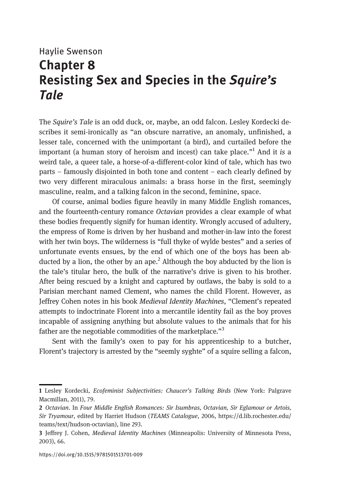## Haylie Swenson Chapter 8 Resisting Sex and Species in the Squire's Tale

The Squire's Tale is an odd duck, or, maybe, an odd falcon. Lesley Kordecki describes it semi-ironically as "an obscure narrative, an anomaly, unfinished, a lesser tale, concerned with the unimportant (a bird), and curtailed before the important (a human story of heroism and incest) can take place."<sup>1</sup> And it is a weird tale, a queer tale, a horse-of-a-different-color kind of tale, which has two parts – famously disjointed in both tone and content – each clearly defined by two very different miraculous animals: a brass horse in the first, seemingly masculine, realm, and a talking falcon in the second, feminine, space.

Of course, animal bodies figure heavily in many Middle English romances, and the fourteenth-century romance Octavian provides a clear example of what these bodies frequently signify for human identity. Wrongly accused of adultery, the empress of Rome is driven by her husband and mother-in-law into the forest with her twin boys. The wilderness is "full thyke of wylde bestes" and a series of unfortunate events ensues, by the end of which one of the boys has been abducted by a lion, the other by an ape.<sup>2</sup> Although the boy abducted by the lion is the tale's titular hero, the bulk of the narrative's drive is given to his brother. After being rescued by a knight and captured by outlaws, the baby is sold to a Parisian merchant named Clement, who names the child Florent. However, as Jeffrey Cohen notes in his book Medieval Identity Machines, "Clement's repeated attempts to indoctrinate Florent into a mercantile identity fail as the boy proves incapable of assigning anything but absolute values to the animals that for his father are the negotiable commodities of the marketplace."<sup>3</sup>

Sent with the family's oxen to pay for his apprenticeship to a butcher, Florent's trajectory is arrested by the "seemly syghte" of a squire selling a falcon,

<sup>1</sup> Lesley Kordecki, Ecofeminist Subjectivities: Chaucer's Talking Birds (New York: Palgrave Macmillan, 2011), 79.

<sup>2</sup> Octavian. In Four Middle English Romances: Sir Isumbras, Octavian, Sir Eglamour or Artois, Sir Tryamour, edited by Harriet Hudson (TEAMS Catalogue, 2006, [https://d.lib.rochester.edu/](https://d.lib.rochester.edu/teams/text/hudson-octavian) [teams/text/hudson-octavian\)](https://d.lib.rochester.edu/teams/text/hudson-octavian), line 293.

<sup>3</sup> Jeffrey J. Cohen, Medieval Identity Machines (Minneapolis: University of Minnesota Press, 2003), 66.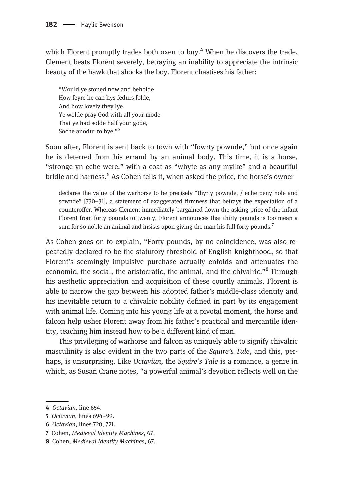which Florent promptly trades both oxen to buy. $4$  When he discovers the trade, Clement beats Florent severely, betraying an inability to appreciate the intrinsic beauty of the hawk that shocks the boy. Florent chastises his father:

"Would ye stoned now and beholde How feyre he can hys fedurs folde, And how lovely they lye, Ye wolde pray God with all your mode That ye had solde half your gode, Soche anodur to bye."<sup>5</sup>

Soon after, Florent is sent back to town with "fowrty pownde," but once again he is deterred from his errand by an animal body. This time, it is a horse, "stronge yn eche were," with a coat as "whyte as any mylke" and a beautiful bridle and harness.<sup>6</sup> As Cohen tells it, when asked the price, the horse's owner

declares the value of the warhorse to be precisely "thyrty pownde, / eche peny hole and sownde" [730–31], a statement of exaggerated firmness that betrays the expectation of a counteroffer. Whereas Clement immediately bargained down the asking price of the infant Florent from forty pounds to twenty, Florent announces that thirty pounds is too mean a sum for so noble an animal and insists upon giving the man his full forty pounds.<sup>7</sup>

As Cohen goes on to explain, "Forty pounds, by no coincidence, was also repeatedly declared to be the statutory threshold of English knighthood, so that Florent's seemingly impulsive purchase actually enfolds and attenuates the economic, the social, the aristocratic, the animal, and the chivalric."<sup>8</sup> Through his aesthetic appreciation and acquisition of these courtly animals, Florent is able to narrow the gap between his adopted father's middle-class identity and his inevitable return to a chivalric nobility defined in part by its engagement with animal life. Coming into his young life at a pivotal moment, the horse and falcon help usher Florent away from his father's practical and mercantile identity, teaching him instead how to be a different kind of man.

This privileging of warhorse and falcon as uniquely able to signify chivalric masculinity is also evident in the two parts of the Squire's Tale, and this, perhaps, is unsurprising. Like Octavian, the Squire's Tale is a romance, a genre in which, as Susan Crane notes, "a powerful animal's devotion reflects well on the

<sup>4</sup> Octavian, line 654.

<sup>5</sup> Octavian, lines 694–99.

<sup>6</sup> Octavian, lines 720, 721.

<sup>7</sup> Cohen, Medieval Identity Machines, 67.

<sup>8</sup> Cohen, Medieval Identity Machines, 67.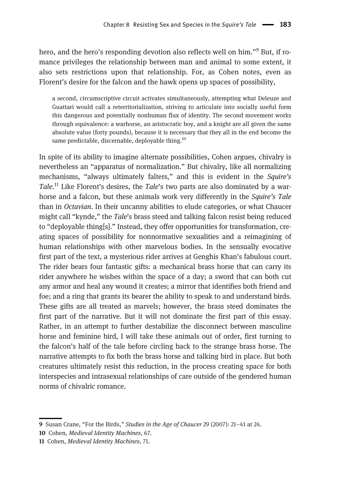hero, and the hero's responding devotion also reflects well on him."<sup>9</sup> But, if romance privileges the relationship between man and animal to some extent, it also sets restrictions upon that relationship. For, as Cohen notes, even as Florent's desire for the falcon and the hawk opens up spaces of possibility,

a second, circumscriptive circuit activates simultaneously, attempting what Deleuze and Guattari would call a reterritorialization, striving to articulate into socially useful form this dangerous and potentially nonhuman flux of identity. The second movement works through equivalence: a warhorse, an aristocratic boy, and a knight are all given the same absolute value (forty pounds), because it is necessary that they all in the end become the same predictable, discernable, deployable thing.<sup>10</sup>

In spite of its ability to imagine alternate possibilities, Cohen argues, chivalry is nevertheless an "apparatus of normalization." But chivalry, like all normalizing mechanisms, "always ultimately falters," and this is evident in the Squire's Tale.<sup>11</sup> Like Florent's desires, the Tale's two parts are also dominated by a warhorse and a falcon, but these animals work very differently in the *Squire's Tale* than in Octavian. In their uncanny abilities to elude categories, or what Chaucer might call "kynde," the Tale's brass steed and talking falcon resist being reduced to "deployable thing[s]." Instead, they offer opportunities for transformation, creating spaces of possibility for nonnormative sexualities and a reimagining of human relationships with other marvelous bodies. In the sensually evocative first part of the text, a mysterious rider arrives at Genghis Khan's fabulous court. The rider bears four fantastic gifts: a mechanical brass horse that can carry its rider anywhere he wishes within the space of a day; a sword that can both cut any armor and heal any wound it creates; a mirror that identifies both friend and foe; and a ring that grants its bearer the ability to speak to and understand birds. These gifts are all treated as marvels; however, the brass steed dominates the first part of the narrative. But it will not dominate the first part of this essay. Rather, in an attempt to further destabilize the disconnect between masculine horse and feminine bird, I will take these animals out of order, first turning to the falcon's half of the tale before circling back to the strange brass horse. The narrative attempts to fix both the brass horse and talking bird in place. But both creatures ultimately resist this reduction, in the process creating space for both interspecies and intrasexual relationships of care outside of the gendered human norms of chivalric romance.

<sup>9</sup> Susan Crane, "For the Birds," Studies in the Age of Chaucer 29 (2007): 21–41 at 24.

<sup>10</sup> Cohen, Medieval Identity Machines, 67.

<sup>11</sup> Cohen, Medieval Identity Machines, 71.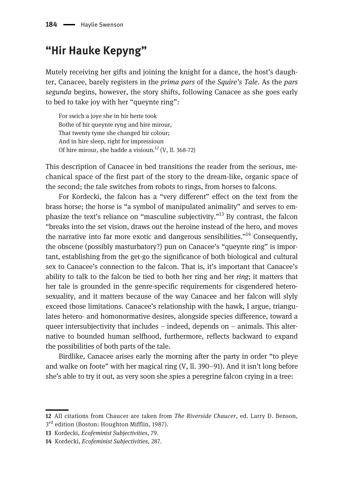## "Hir Hauke Kepyng"

Mutely receiving her gifts and joining the knight for a dance, the host's daughter, Canacee, barely registers in the prima pars of the Squire's Tale. As the pars segunda begins, however, the story shifts, following Canacee as she goes early to bed to take joy with her "queynte ring":

For swich a joye she in hir herte took Bothe of hir queynte ryng and hire mirour, That twenty tyme she changed hir colour; And in hire sleep, right for impressioun Of hire mirour, she hadde a visioun.<sup>12</sup> (V, ll. 368-72)

This description of Canacee in bed transitions the reader from the serious, mechanical space of the first part of the story to the dream-like, organic space of the second; the tale switches from robots to rings, from horses to falcons.

For Kordecki, the falcon has a "very different" effect on the text from the brass horse; the horse is "a symbol of manipulated animality" and serves to emphasize the text's reliance on "masculine subjectivity."<sup>13</sup> By contrast, the falcon "breaks into the set vision, draws out the heroine instead of the hero, and moves the narrative into far more exotic and dangerous sensibilities."<sup>14</sup> Consequently, the obscene (possibly masturbatory?) pun on Canacee's "queynte ring" is important, establishing from the get-go the significance of both biological and cultural sex to Canacee's connection to the falcon. That is, it's important that Canacee's ability to talk to the falcon be tied to both her ring and her ring; it matters that her tale is grounded in the genre-specific requirements for cisgendered heterosexuality, and it matters because of the way Canacee and her falcon will slyly exceed those limitations. Canacee's relationship with the hawk, I argue, triangulates hetero- and homonormative desires, alongside species difference, toward a queer intersubjectivity that includes – indeed, depends on – animals. This alternative to bounded human selfhood, furthermore, reflects backward to expand the possibilities of both parts of the tale.

Birdlike, Canacee arises early the morning after the party in order "to pleye and walke on foote" with her magical ring (V, ll. 390–91). And it isn't long before she's able to try it out, as very soon she spies a peregrine falcon crying in a tree:

<sup>12</sup> All citations from Chaucer are taken from The Riverside Chaucer, ed. Larry D. Benson, 3<sup>rd</sup> edition (Boston: Houghton Mifflin, 1987).

<sup>13</sup> Kordecki, Ecofeminist Subjectivities, 79.

<sup>14</sup> Kordecki, Ecofeminist Subjectivities, 287.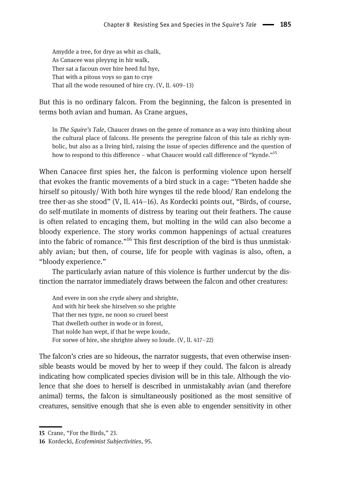Amydde a tree, for drye as whit as chalk, As Canacee was pleyyng in hir walk, Ther sat a facoun over hire heed ful hye, That with a pitous voys so gan to crye That all the wode resouned of hire cry. (V, ll. 409–13)

But this is no ordinary falcon. From the beginning, the falcon is presented in terms both avian and human. As Crane argues,

In The Squire's Tale, Chaucer draws on the genre of romance as a way into thinking about the cultural place of falcons. He presents the peregrine falcon of this tale as richly symbolic, but also as a living bird, raising the issue of species difference and the question of how to respond to this difference – what Chaucer would call difference of "kynde."<sup>15</sup>

When Canacee first spies her, the falcon is performing violence upon herself that evokes the frantic movements of a bird stuck in a cage: "Ybeten hadde she hirself so pitously/ With both hire wynges til the rede blood/ Ran endelong the tree ther-as she stood" (V, ll. 414–16). As Kordecki points out, "Birds, of course, do self-mutilate in moments of distress by tearing out their feathers. The cause is often related to encaging them, but molting in the wild can also become a bloody experience. The story works common happenings of actual creatures into the fabric of romance."<sup>16</sup> This first description of the bird is thus unmistakably avian; but then, of course, life for people with vaginas is also, often, a "bloody experience."

The particularly avian nature of this violence is further undercut by the distinction the narrator immediately draws between the falcon and other creatures:

And evere in oon she cryde alwey and shrighte, And with hir beek she hirselven so she prighte That ther nes tygre, ne noon so crueel beest That dwelleth outher in wode or in forest, That nolde han wept, if that he wepe koude, For sorwe of hire, she shrighte alwey so loude. (V, ll. 417–22)

The falcon's cries are so hideous, the narrator suggests, that even otherwise insensible beasts would be moved by her to weep if they could. The falcon is already indicating how complicated species division will be in this tale. Although the violence that she does to herself is described in unmistakably avian (and therefore animal) terms, the falcon is simultaneously positioned as the most sensitive of creatures, sensitive enough that she is even able to engender sensitivity in other

<sup>15</sup> Crane, "For the Birds," 23.

<sup>16</sup> Kordecki, Ecofeminist Subjectivities, 95.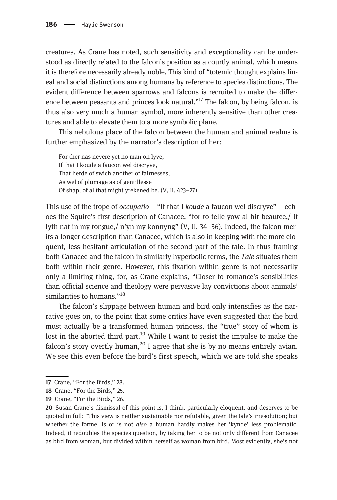creatures. As Crane has noted, such sensitivity and exceptionality can be understood as directly related to the falcon's position as a courtly animal, which means it is therefore necessarily already noble. This kind of "totemic thought explains lineal and social distinctions among humans by reference to species distinctions. The evident difference between sparrows and falcons is recruited to make the difference between peasants and princes look natural."<sup>17</sup> The falcon, by being falcon, is thus also very much a human symbol, more inherently sensitive than other creatures and able to elevate them to a more symbolic plane.

This nebulous place of the falcon between the human and animal realms is further emphasized by the narrator's description of her:

For ther nas nevere yet no man on lyve, If that I koude a faucon wel discryve, That herde of swich another of fairnesses, As wel of plumage as of gentillesse Of shap, of al that might yrekened be. (V, ll. 423–27)

This use of the trope of *occupatio* – "If that I *koude* a faucon wel discryve" – echoes the Squire's first description of Canacee, "for to telle yow al hir beautee,/ It lyth nat in my tongue,/ n'yn my konnyng" (V, ll. 34–36). Indeed, the falcon merits a longer description than Canacee, which is also in keeping with the more eloquent, less hesitant articulation of the second part of the tale. In thus framing both Canacee and the falcon in similarly hyperbolic terms, the Tale situates them both within their genre. However, this fixation within genre is not necessarily only a limiting thing, for, as Crane explains, "Closer to romance's sensibilities than official science and theology were pervasive lay convictions about animals' similarities to humans."<sup>18</sup>

The falcon's slippage between human and bird only intensifies as the narrative goes on, to the point that some critics have even suggested that the bird must actually be a transformed human princess, the "true" story of whom is lost in the aborted third part.<sup>19</sup> While I want to resist the impulse to make the falcon's story overtly human,<sup>20</sup> I agree that she is by no means entirely avian. We see this even before the bird's first speech, which we are told she speaks

<sup>17</sup> Crane, "For the Birds," 28.

<sup>18</sup> Crane, "For the Birds," 25.

<sup>19</sup> Crane, "For the Birds," 26.

<sup>20</sup> Susan Crane's dismissal of this point is, I think, particularly eloquent, and deserves to be quoted in full: "This view is neither sustainable nor refutable, given the tale's irresolution; but whether the formel is or is not *also* a human hardly makes her 'kynde' less problematic. Indeed, it redoubles the species question, by taking her to be not only different from Canacee as bird from woman, but divided within herself as woman from bird. Most evidently, she's not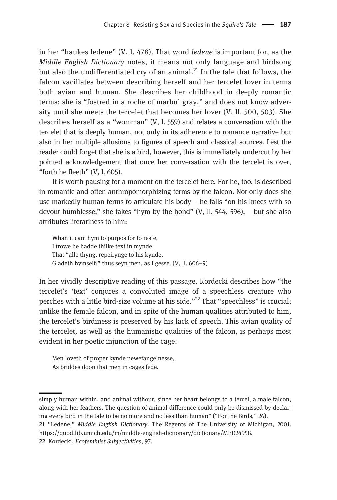in her "haukes ledene"  $(V, 1, 478)$ . That word *ledene* is important for, as the Middle English Dictionary notes, it means not only language and birdsong but also the undifferentiated cry of an animal. $^{21}$  In the tale that follows, the falcon vacillates between describing herself and her tercelet lover in terms both avian and human. She describes her childhood in deeply romantic terms: she is "fostred in a roche of marbul gray," and does not know adversity until she meets the tercelet that becomes her lover (V, ll. 500, 503). She describes herself as a "womman"  $(V, 1, 559)$  and relates a conversation with the tercelet that is deeply human, not only in its adherence to romance narrative but also in her multiple allusions to figures of speech and classical sources. Lest the reader could forget that she is a bird, however, this is immediately undercut by her pointed acknowledgement that once her conversation with the tercelet is over, "forth he fleeth"  $(V, 1, 605)$ .

It is worth pausing for a moment on the tercelet here. For he, too, is described in romantic and often anthropomorphizing terms by the falcon. Not only does she use markedly human terms to articulate his body – he falls "on his knees with so devout humblesse," she takes "hym by the hond" (V, ll. 544, 596), – but she also attributes literariness to him:

Whan it cam hym to purpos for to reste, I trowe he hadde thilke text in mynde, That "alle thyng, repeirynge to his kynde, Gladeth hymself;" thus seyn men, as I gesse. (V, ll. 606–9)

In her vividly descriptive reading of this passage, Kordecki describes how "the tercelet's 'text' conjures a convoluted image of a speechless creature who perches with a little bird-size volume at his side."<sup>22</sup> That "speechless" is crucial: unlike the female falcon, and in spite of the human qualities attributed to him, the tercelet's birdiness is preserved by his lack of speech. This avian quality of the tercelet, as well as the humanistic qualities of the falcon, is perhaps most evident in her poetic injunction of the cage:

Men loveth of proper kynde newefangelnesse, As briddes doon that men in cages fede.

simply human within, and animal without, since her heart belongs to a tercel, a male falcon, along with her feathers. The question of animal difference could only be dismissed by declaring every bird in the tale to be no more and no less than human" ("For the Birds," 26).

<sup>21</sup> "Ledene," Middle English Dictionary. The Regents of The University of Michigan, 2001. <https://quod.lib.umich.edu/m/middle-english-dictionary/dictionary/MED24958>.

<sup>22</sup> Kordecki, Ecofeminist Subjectivities, 97.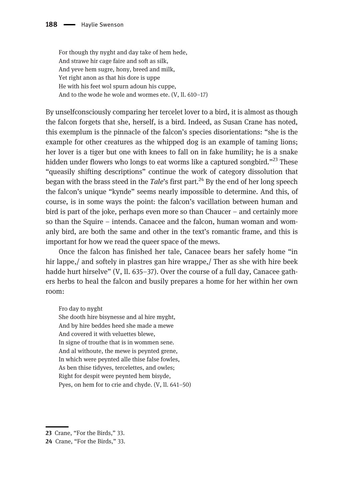For though thy nyght and day take of hem hede, And strawe hir cage faire and soft as silk, And yeve hem sugre, hony, breed and milk, Yet right anon as that his dore is uppe He with his feet wol spurn adoun his cuppe, And to the wode he wole and wormes ete. (V, ll. 610–17)

By unselfconsciously comparing her tercelet lover to a bird, it is almost as though the falcon forgets that she, herself, is a bird. Indeed, as Susan Crane has noted, this exemplum is the pinnacle of the falcon's species disorientations: "she is the example for other creatures as the whipped dog is an example of taming lions; her lover is a tiger but one with knees to fall on in fake humility; he is a snake hidden under flowers who longs to eat worms like a captured songbird."<sup>23</sup> These "queasily shifting descriptions" continue the work of category dissolution that began with the brass steed in the Tale's first part.<sup>24</sup> By the end of her long speech the falcon's unique "kynde" seems nearly impossible to determine. And this, of course, is in some ways the point: the falcon's vacillation between human and bird is part of the joke, perhaps even more so than Chaucer – and certainly more so than the Squire – intends. Canacee and the falcon, human woman and womanly bird, are both the same and other in the text's romantic frame, and this is important for how we read the queer space of the mews.

Once the falcon has finished her tale, Canacee bears her safely home "in hir lappe,/ and softely in plastres gan hire wrappe,/ Ther as she with hire beek hadde hurt hirselve" (V, ll. 635–37). Over the course of a full day, Canacee gathers herbs to heal the falcon and busily prepares a home for her within her own room:

Fro day to nyght

She dooth hire bisynesse and al hire myght, And by hire beddes heed she made a mewe And covered it with veluettes blewe, In signe of trouthe that is in wommen sene. And al withoute, the mewe is peynted grene, In which were peynted alle thise false fowles, As ben thise tidyves, tercelettes, and owles; Right for despit were peynted hem bisyde, Pyes, on hem for to crie and chyde. (V, ll. 641–50)

<sup>23</sup> Crane, "For the Birds," 33.

<sup>24</sup> Crane, "For the Birds," 33.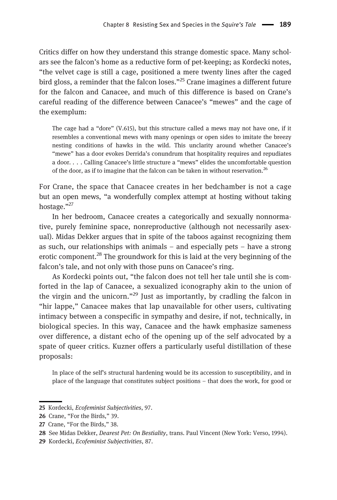Critics differ on how they understand this strange domestic space. Many scholars see the falcon's home as a reductive form of pet-keeping; as Kordecki notes, "the velvet cage is still a cage, positioned a mere twenty lines after the caged bird gloss, a reminder that the falcon loses."<sup>25</sup> Crane imagines a different future for the falcon and Canacee, and much of this difference is based on Crane's careful reading of the difference between Canacee's "mewes" and the cage of the exemplum:

The cage had a "dore" (V.615), but this structure called a mews may not have one, if it resembles a conventional mews with many openings or open sides to imitate the breezy nesting conditions of hawks in the wild. This unclarity around whether Canacee's "mewe" has a door evokes Derrida's conundrum that hospitality requires and repudiates a door. . . . Calling Canacee's little structure a "mews" elides the uncomfortable question of the door, as if to imagine that the falcon can be taken in without reservation.<sup>26</sup>

For Crane, the space that Canacee creates in her bedchamber is not a cage but an open mews, "a wonderfully complex attempt at hosting without taking hostage."27

In her bedroom, Canacee creates a categorically and sexually nonnormative, purely feminine space, nonreproductive (although not necessarily asexual). Midas Dekker argues that in spite of the taboos against recognizing them as such, our relationships with animals – and especially pets – have a strong erotic component.<sup>28</sup> The groundwork for this is laid at the very beginning of the falcon's tale, and not only with those puns on Canacee's ring.

As Kordecki points out, "the falcon does not tell her tale until she is comforted in the lap of Canacee, a sexualized iconography akin to the union of the virgin and the unicorn."<sup>29</sup> Just as importantly, by cradling the falcon in "hir lappe," Canacee makes that lap unavailable for other users, cultivating intimacy between a conspecific in sympathy and desire, if not, technically, in biological species. In this way, Canacee and the hawk emphasize sameness over difference, a distant echo of the opening up of the self advocated by a spate of queer critics. Kuzner offers a particularly useful distillation of these proposals:

In place of the self's structural hardening would be its accession to susceptibility, and in place of the language that constitutes subject positions – that does the work, for good or

<sup>25</sup> Kordecki, Ecofeminist Subjectivities, 97.

<sup>26</sup> Crane, "For the Birds," 39.

<sup>27</sup> Crane, "For the Birds," 38.

<sup>28</sup> See Midas Dekker, Dearest Pet: On Bestiality, trans. Paul Vincent (New York: Verso, 1994).

<sup>29</sup> Kordecki, Ecofeminist Subjectivities, 87.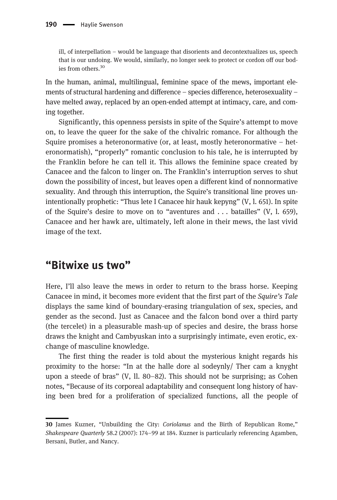ill, of interpellation – would be language that disorients and decontextualizes us, speech that is our undoing. We would, similarly, no longer seek to protect or cordon off our bodies from others.<sup>30</sup>

In the human, animal, multilingual, feminine space of the mews, important elements of structural hardening and difference – species difference, heterosexuality – have melted away, replaced by an open-ended attempt at intimacy, care, and coming together.

Significantly, this openness persists in spite of the Squire's attempt to move on, to leave the queer for the sake of the chivalric romance. For although the Squire promises a heteronormative (or, at least, mostly heteronormative – heteronormatish), "properly" romantic conclusion to his tale, he is interrupted by the Franklin before he can tell it. This allows the feminine space created by Canacee and the falcon to linger on. The Franklin's interruption serves to shut down the possibility of incest, but leaves open a different kind of nonnormative sexuality. And through this interruption, the Squire's transitional line proves unintentionally prophetic: "Thus lete I Canacee hir hauk kepyng" (V, l. 651). In spite of the Squire's desire to move on to "aventures and . . . batailles" (V, l. 659), Canacee and her hawk are, ultimately, left alone in their mews, the last vivid image of the text.

## "Bitwixe us two"

Here, I'll also leave the mews in order to return to the brass horse. Keeping Canacee in mind, it becomes more evident that the first part of the Squire's Tale displays the same kind of boundary-erasing triangulation of sex, species, and gender as the second. Just as Canacee and the falcon bond over a third party (the tercelet) in a pleasurable mash-up of species and desire, the brass horse draws the knight and Cambyuskan into a surprisingly intimate, even erotic, exchange of masculine knowledge.

The first thing the reader is told about the mysterious knight regards his proximity to the horse: "In at the halle dore al sodeynly/ Ther cam a knyght upon a steede of bras" (V, ll. 80–82). This should not be surprising; as Cohen notes, "Because of its corporeal adaptability and consequent long history of having been bred for a proliferation of specialized functions, all the people of

<sup>30</sup> James Kuzner, "Unbuilding the City: Coriolanus and the Birth of Republican Rome," Shakespeare Quarterly 58.2 (2007): 174–99 at 184. Kuzner is particularly referencing Agamben, Bersani, Butler, and Nancy.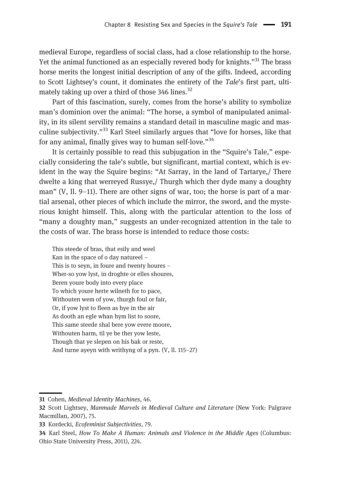medieval Europe, regardless of social class, had a close relationship to the horse. Yet the animal functioned as an especially revered body for knights."<sup>31</sup> The brass horse merits the longest initial description of any of the gifts. Indeed, according to Scott Lightsey's count, it dominates the entirety of the Tale's first part, ultimately taking up over a third of those 346 lines.<sup>32</sup>

Part of this fascination, surely, comes from the horse's ability to symbolize man's dominion over the animal: "The horse, a symbol of manipulated animality, in its silent servility remains a standard detail in masculine magic and masculine subjectivity."<sup>33</sup> Karl Steel similarly argues that "love for horses, like that for any animal, finally gives way to human self-love."<sup>34</sup>

It is certainly possible to read this subjugation in the "Squire's Tale," especially considering the tale's subtle, but significant, martial context, which is evident in the way the Squire begins: "At Sarray, in the land of Tartarye,/ There dwelte a king that werreyed Russye,/ Thurgh which ther dyde many a doughty man" (V, ll. 9–11). There are other signs of war, too; the horse is part of a martial arsenal, other pieces of which include the mirror, the sword, and the mysterious knight himself. This, along with the particular attention to the loss of "many a doughty man," suggests an under-recognized attention in the tale to the costs of war. The brass horse is intended to reduce those costs:

This steede of bras, that esily and weel Kan in the space of o day natureel – This is to seyn, in foure and twenty houres – Wher-so yow lyst, in droghte or elles shoures, Beren youre body into every place To which youre herte wilneth for to pace, Withouten wem of yow, thurgh foul or fair, Or, if yow lyst to fleen as hye in the air As dooth an egle whan hym list to soore, This same steede shal bere yow evere moore, Withouten harm, til ye be ther yow leste, Though that ye slepen on his bak or reste, And turne ayeyn with writhyng of a pyn. (V, ll. 115–27)

33 Kordecki, Ecofeminist Subjectivities, 79.

<sup>31</sup> Cohen, Medieval Identity Machines, 46.

<sup>32</sup> Scott Lightsey, Manmade Marvels in Medieval Culture and Literature (New York: Palgrave Macmillan, 2007), 75.

<sup>34</sup> Karl Steel, How To Make A Human: Animals and Violence in the Middle Ages (Columbus: Ohio State University Press, 2011), 224.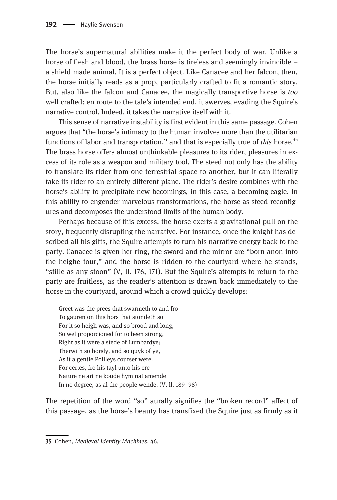The horse's supernatural abilities make it the perfect body of war. Unlike a horse of flesh and blood, the brass horse is tireless and seemingly invincible – a shield made animal. It is a perfect object. Like Canacee and her falcon, then, the horse initially reads as a prop, particularly crafted to fit a romantic story. But, also like the falcon and Canacee, the magically transportive horse is too well crafted: en route to the tale's intended end, it swerves, evading the Squire's narrative control. Indeed, it takes the narrative itself with it.

This sense of narrative instability is first evident in this same passage. Cohen argues that "the horse's intimacy to the human involves more than the utilitarian functions of labor and transportation," and that is especially true of *this* horse.<sup>35</sup> The brass horse offers almost unthinkable pleasures to its rider, pleasures in excess of its role as a weapon and military tool. The steed not only has the ability to translate its rider from one terrestrial space to another, but it can literally take its rider to an entirely different plane. The rider's desire combines with the horse's ability to precipitate new becomings, in this case, a becoming-eagle. In this ability to engender marvelous transformations, the horse-as-steed reconfigures and decomposes the understood limits of the human body.

Perhaps because of this excess, the horse exerts a gravitational pull on the story, frequently disrupting the narrative. For instance, once the knight has described all his gifts, the Squire attempts to turn his narrative energy back to the party. Canacee is given her ring, the sword and the mirror are "born anon into the heighe tour," and the horse is ridden to the courtyard where he stands, "stille as any stoon" (V, ll. 176, 171). But the Squire's attempts to return to the party are fruitless, as the reader's attention is drawn back immediately to the horse in the courtyard, around which a crowd quickly develops:

Greet was the prees that swarmeth to and fro To gauren on this hors that stondeth so For it so heigh was, and so brood and long, So wel proporcioned for to been strong, Right as it were a stede of Lumbardye; Therwith so horsly, and so quyk of ye, As it a gentle Poilleys courser were. For certes, fro his tayl unto his ere Nature ne art ne koude hym nat amende In no degree, as al the people wende. (V, ll. 189–98)

The repetition of the word "so" aurally signifies the "broken record" affect of this passage, as the horse's beauty has transfixed the Squire just as firmly as it

<sup>35</sup> Cohen, Medieval Identity Machines, 46.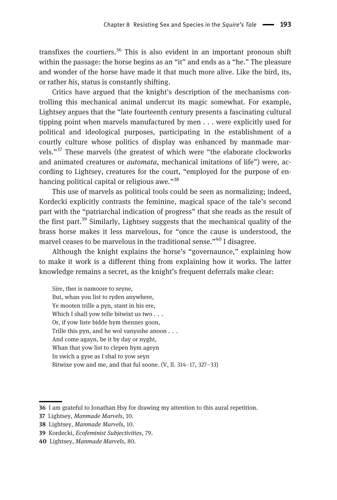transfixes the courtiers.<sup>36</sup> This is also evident in an important pronoun shift within the passage: the horse begins as an "it" and ends as a "he." The pleasure and wonder of the horse have made it that much more alive. Like the bird, its, or rather his, status is constantly shifting.

Critics have argued that the knight's description of the mechanisms controlling this mechanical animal undercut its magic somewhat. For example, Lightsey argues that the "late fourteenth century presents a fascinating cultural tipping point when marvels manufactured by men . . . were explicitly used for political and ideological purposes, participating in the establishment of a courtly culture whose politics of display was enhanced by manmade marvels."<sup>37</sup> These marvels (the greatest of which were "the elaborate clockworks and animated creatures or automata, mechanical imitations of life") were, according to Lightsey, creatures for the court, "employed for the purpose of enhancing political capital or religious awe."<sup>38</sup>

This use of marvels as political tools could be seen as normalizing; indeed, Kordecki explicitly contrasts the feminine, magical space of the tale's second part with the "patriarchal indication of progress" that she reads as the result of the first part.<sup>39</sup> Similarly, Lightsey suggests that the mechanical quality of the brass horse makes it less marvelous, for "once the cause is understood, the marvel ceases to be marvelous in the traditional sense."<sup>40</sup> I disagree.

Although the knight explains the horse's "governaunce," explaining how to make it work is a different thing from explaining how it works. The latter knowledge remains a secret, as the knight's frequent deferrals make clear:

Sire, ther is namoore to seyne, But, whan you list to ryden anywhere, Ye mooten trille a pyn, stant in his ere, Which I shall yow telle bitwixt us two . . . Or, if yow liste bidde hym thennes goon, Trille this pyn, and he wol vanysshe anoon . . . And come agayn, be it by day or nyght, Whan that yow list to clepen hym ageyn In swich a gyse as I shal to yow seyn Bitwixe yow and me, and that ful soone. (V, ll. 314–17, 327–33)

<sup>36</sup> I am grateful to Jonathan Hsy for drawing my attention to this aural repetition.

<sup>37</sup> Lightsey, Manmade Marvels, 10.

<sup>38</sup> Lightsey, Manmade Marvels, 10.

<sup>39</sup> Kordecki, Ecofeminist Subjectivities, 79.

<sup>40</sup> Lightsey, Manmade Marvels, 80.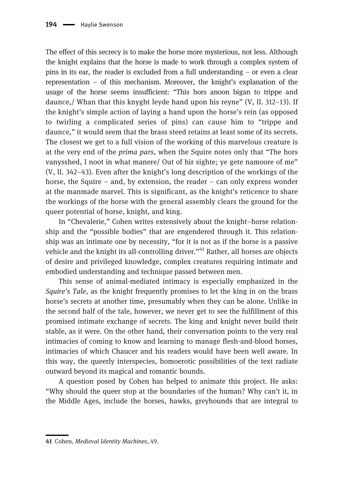The effect of this secrecy is to make the horse more mysterious, not less. Although the knight explains that the horse is made to work through a complex system of pins in its ear, the reader is excluded from a full understanding – or even a clear representation – of this mechanism. Moreover, the knight's explanation of the usage of the horse seems insufficient: "This hors anoon bigan to trippe and daunce,/ Whan that this knyght leyde hand upon his reyne" (V, ll. 312–13). If the knight's simple action of laying a hand upon the horse's rein (as opposed to twirling a complicated series of pins) can cause him to "trippe and daunce," it would seem that the brass steed retains at least some of its secrets. The closest we get to a full vision of the working of this marvelous creature is at the very end of the *prima pars*, when the Squire notes only that "The hors vanysshed, I noot in what manere/ Out of hir sighte; ye gete namoore of me" (V, ll. 342–43). Even after the knight's long description of the workings of the horse, the Squire – and, by extension, the reader – can only express wonder at the manmade marvel. This is significant, as the knight's reticence to share the workings of the horse with the general assembly clears the ground for the queer potential of horse, knight, and king.

In "Chevalerie," Cohen writes extensively about the knight–horse relationship and the "possible bodies" that are engendered through it. This relationship was an intimate one by necessity, "for it is not as if the horse is a passive vehicle and the knight its all-controlling driver."<sup>41</sup> Rather, all horses are objects of desire and privileged knowledge, complex creatures requiring intimate and embodied understanding and technique passed between men.

This sense of animal-mediated intimacy is especially emphasized in the Squire's Tale, as the knight frequently promises to let the king in on the brass horse's secrets at another time, presumably when they can be alone. Unlike in the second half of the tale, however, we never get to see the fulfillment of this promised intimate exchange of secrets. The king and knight never build their stable, as it were. On the other hand, their conversation points to the very real intimacies of coming to know and learning to manage flesh-and-blood horses, intimacies of which Chaucer and his readers would have been well aware. In this way, the queerly interspecies, homoerotic possibilities of the text radiate outward beyond its magical and romantic bounds.

A question posed by Cohen has helped to animate this project. He asks: "Why should the queer stop at the boundaries of the human? Why can't it, in the Middle Ages, include the horses, hawks, greyhounds that are integral to

<sup>41</sup> Cohen, Medieval Identity Machines, 49.